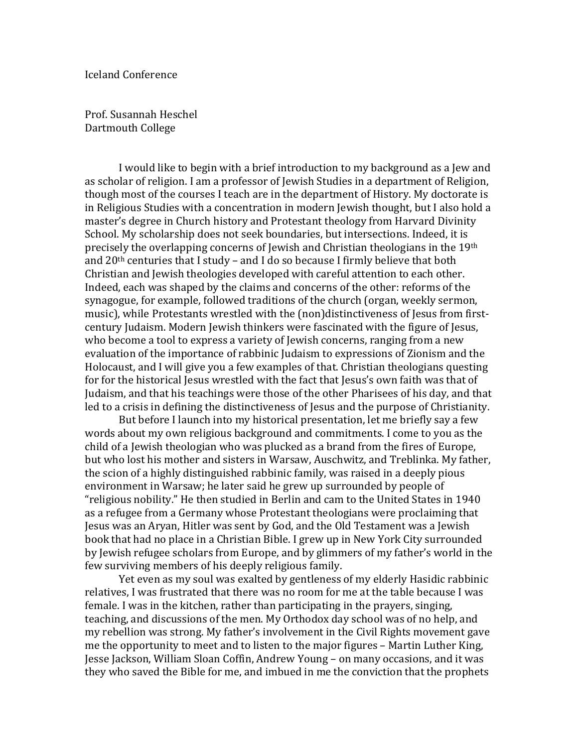Prof. Susannah Heschel Dartmouth College

 I would like to begin with a brief introduction to my background as a Jew and as scholar of religion. I am a professor of Jewish Studies in a department of Religion, though most of the courses I teach are in the department of History. My doctorate is in Religious Studies with a concentration in modern Jewish thought, but I also hold a master's degree in Church history and Protestant theology from Harvard Divinity School. My scholarship does not seek boundaries, but intersections. Indeed, it is precisely the overlapping concerns of Jewish and Christian theologians in the 19th and  $20<sup>th</sup>$  centuries that I study – and I do so because I firmly believe that both Christian and Jewish theologies developed with careful attention to each other. Indeed, each was shaped by the claims and concerns of the other: reforms of the synagogue, for example, followed traditions of the church (organ, weekly sermon, music), while Protestants wrestled with the (non)distinctiveness of Jesus from firstcentury Judaism. Modern Jewish thinkers were fascinated with the figure of Jesus, who become a tool to express a variety of Jewish concerns, ranging from a new evaluation of the importance of rabbinic Judaism to expressions of Zionism and the Holocaust, and I will give you a few examples of that. Christian theologians questing for for the historical Jesus wrestled with the fact that Jesus's own faith was that of Judaism, and that his teachings were those of the other Pharisees of his day, and that led to a crisis in defining the distinctiveness of Jesus and the purpose of Christianity.

 But before I launch into my historical presentation, let me briefly say a few words about my own religious background and commitments. I come to you as the child of a Jewish theologian who was plucked as a brand from the fires of Europe, but who lost his mother and sisters in Warsaw, Auschwitz, and Treblinka. My father, the scion of a highly distinguished rabbinic family, was raised in a deeply pious environment in Warsaw; he later said he grew up surrounded by people of "religious nobility." He then studied in Berlin and cam to the United States in 1940 as a refugee from a Germany whose Protestant theologians were proclaiming that Jesus was an Aryan, Hitler was sent by God, and the Old Testament was a Jewish book that had no place in a Christian Bible. I grew up in New York City surrounded by Jewish refugee scholars from Europe, and by glimmers of my father's world in the few surviving members of his deeply religious family.

 Yet even as my soul was exalted by gentleness of my elderly Hasidic rabbinic relatives, I was frustrated that there was no room for me at the table because I was female. I was in the kitchen, rather than participating in the prayers, singing, teaching, and discussions of the men. My Orthodox day school was of no help, and my rebellion was strong. My father's involvement in the Civil Rights movement gave me the opportunity to meet and to listen to the major figures – Martin Luther King, Jesse Jackson, William Sloan Coffin, Andrew Young – on many occasions, and it was they who saved the Bible for me, and imbued in me the conviction that the prophets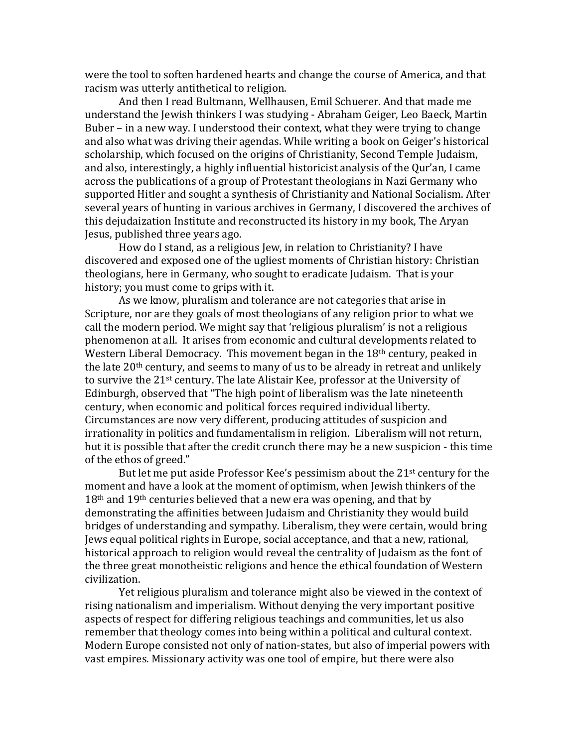were the tool to soften hardened hearts and change the course of America, and that racism was utterly antithetical to religion.

 And then I read Bultmann, Wellhausen, Emil Schuerer. And that made me understand the Jewish thinkers I was studying - Abraham Geiger, Leo Baeck, Martin Buber – in a new way. I understood their context, what they were trying to change and also what was driving their agendas. While writing a book on Geiger's historical scholarship, which focused on the origins of Christianity, Second Temple Judaism, and also, interestingly, a highly influential historicist analysis of the Qur'an, I came across the publications of a group of Protestant theologians in Nazi Germany who supported Hitler and sought a synthesis of Christianity and National Socialism. After several years of hunting in various archives in Germany, I discovered the archives of this dejudaization Institute and reconstructed its history in my book, The Aryan Jesus, published three years ago.

 How do I stand, as a religious Jew, in relation to Christianity? I have discovered and exposed one of the ugliest moments of Christian history: Christian theologians, here in Germany, who sought to eradicate Judaism. That is your history; you must come to grips with it.

 As we know, pluralism and tolerance are not categories that arise in Scripture, nor are they goals of most theologians of any religion prior to what we call the modern period. We might say that 'religious pluralism' is not a religious phenomenon at all. It arises from economic and cultural developments related to Western Liberal Democracy. This movement began in the 18<sup>th</sup> century, peaked in the late 20th century, and seems to many of us to be already in retreat and unlikely to survive the 21st century. The late Alistair Kee, professor at the University of Edinburgh, observed that "The high point of liberalism was the late nineteenth century, when economic and political forces required individual liberty. Circumstances are now very different, producing attitudes of suspicion and irrationality in politics and fundamentalism in religion. Liberalism will not return, but it is possible that after the credit crunch there may be a new suspicion - this time of the ethos of greed."

 But let me put aside Professor Kee's pessimism about the 21st century for the moment and have a look at the moment of optimism, when Jewish thinkers of the 18th and 19th centuries believed that a new era was opening, and that by demonstrating the affinities between Judaism and Christianity they would build bridges of understanding and sympathy. Liberalism, they were certain, would bring Jews equal political rights in Europe, social acceptance, and that a new, rational, historical approach to religion would reveal the centrality of Judaism as the font of the three great monotheistic religions and hence the ethical foundation of Western civilization.

Yet religious pluralism and tolerance might also be viewed in the context of rising nationalism and imperialism. Without denying the very important positive aspects of respect for differing religious teachings and communities, let us also remember that theology comes into being within a political and cultural context. Modern Europe consisted not only of nation-states, but also of imperial powers with vast empires. Missionary activity was one tool of empire, but there were also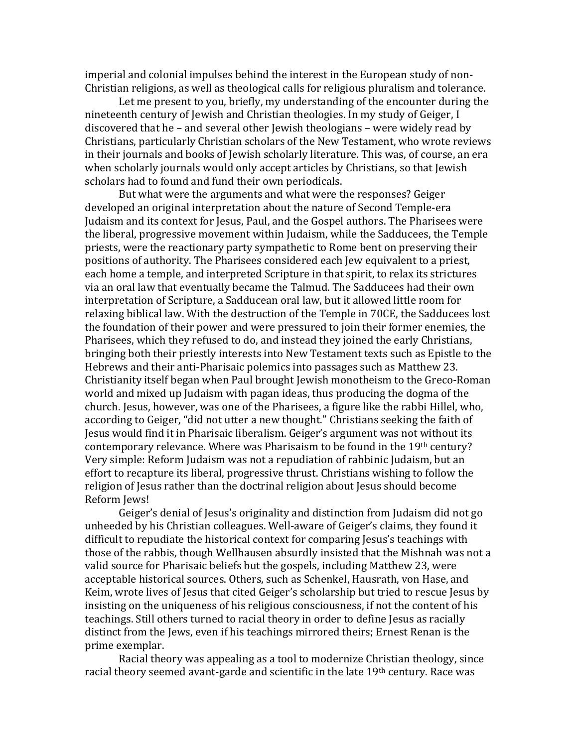imperial and colonial impulses behind the interest in the European study of non-Christian religions, as well as theological calls for religious pluralism and tolerance.

 Let me present to you, briefly, my understanding of the encounter during the nineteenth century of Jewish and Christian theologies. In my study of Geiger, I discovered that he – and several other Jewish theologians – were widely read by Christians, particularly Christian scholars of the New Testament, who wrote reviews in their journals and books of Jewish scholarly literature. This was, of course, an era when scholarly journals would only accept articles by Christians, so that Jewish scholars had to found and fund their own periodicals.

 But what were the arguments and what were the responses? Geiger developed an original interpretation about the nature of Second Temple-era Judaism and its context for Jesus, Paul, and the Gospel authors. The Pharisees were the liberal, progressive movement within Judaism, while the Sadducees, the Temple priests, were the reactionary party sympathetic to Rome bent on preserving their positions of authority. The Pharisees considered each Jew equivalent to a priest, each home a temple, and interpreted Scripture in that spirit, to relax its strictures via an oral law that eventually became the Talmud. The Sadducees had their own interpretation of Scripture, a Sadducean oral law, but it allowed little room for relaxing biblical law. With the destruction of the Temple in 70CE, the Sadducees lost the foundation of their power and were pressured to join their former enemies, the Pharisees, which they refused to do, and instead they joined the early Christians, bringing both their priestly interests into New Testament texts such as Epistle to the Hebrews and their anti-Pharisaic polemics into passages such as Matthew 23. Christianity itself began when Paul brought Jewish monotheism to the Greco-Roman world and mixed up Judaism with pagan ideas, thus producing the dogma of the church. Jesus, however, was one of the Pharisees, a figure like the rabbi Hillel, who, according to Geiger, "did not utter a new thought." Christians seeking the faith of Jesus would find it in Pharisaic liberalism. Geiger's argument was not without its contemporary relevance. Where was Pharisaism to be found in the 19th century? Very simple: Reform Judaism was not a repudiation of rabbinic Judaism, but an effort to recapture its liberal, progressive thrust. Christians wishing to follow the religion of Jesus rather than the doctrinal religion about Jesus should become Reform Jews!

 Geiger's denial of Jesus's originality and distinction from Judaism did not go unheeded by his Christian colleagues. Well-aware of Geiger's claims, they found it difficult to repudiate the historical context for comparing Jesus's teachings with those of the rabbis, though Wellhausen absurdly insisted that the Mishnah was not a valid source for Pharisaic beliefs but the gospels, including Matthew 23, were acceptable historical sources. Others, such as Schenkel, Hausrath, von Hase, and Keim, wrote lives of Jesus that cited Geiger's scholarship but tried to rescue Jesus by insisting on the uniqueness of his religious consciousness, if not the content of his teachings. Still others turned to racial theory in order to define Jesus as racially distinct from the Jews, even if his teachings mirrored theirs; Ernest Renan is the prime exemplar.

Racial theory was appealing as a tool to modernize Christian theology, since racial theory seemed avant-garde and scientific in the late 19th century. Race was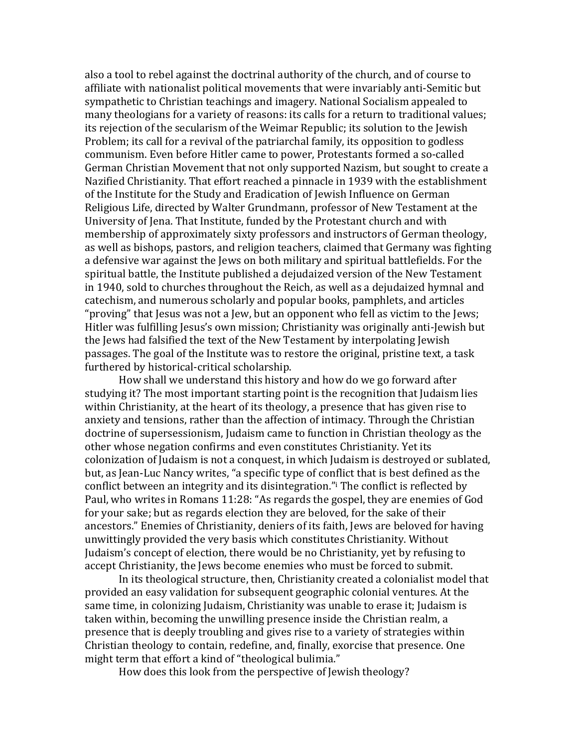also a tool to rebel against the doctrinal authority of the church, and of course to affiliate with nationalist political movements that were invariably anti-Semitic but sympathetic to Christian teachings and imagery. National Socialism appealed to many theologians for a variety of reasons: its calls for a return to traditional values; its rejection of the secularism of the Weimar Republic; its solution to the Jewish Problem; its call for a revival of the patriarchal family, its opposition to godless communism. Even before Hitler came to power, Protestants formed a so-called German Christian Movement that not only supported Nazism, but sought to create a Nazified Christianity. That effort reached a pinnacle in 1939 with the establishment of the Institute for the Study and Eradication of Jewish Influence on German Religious Life, directed by Walter Grundmann, professor of New Testament at the University of Jena. That Institute, funded by the Protestant church and with membership of approximately sixty professors and instructors of German theology, as well as bishops, pastors, and religion teachers, claimed that Germany was fighting a defensive war against the Jews on both military and spiritual battlefields. For the spiritual battle, the Institute published a dejudaized version of the New Testament in 1940, sold to churches throughout the Reich, as well as a dejudaized hymnal and catechism, and numerous scholarly and popular books, pamphlets, and articles "proving" that Jesus was not a Jew, but an opponent who fell as victim to the Jews; Hitler was fulfilling Jesus's own mission; Christianity was originally anti-Jewish but the Jews had falsified the text of the New Testament by interpolating Jewish passages. The goal of the Institute was to restore the original, pristine text, a task furthered by historical-critical scholarship.

 How shall we understand this history and how do we go forward after studying it? The most important starting point is the recognition that Judaism lies within Christianity, at the heart of its theology, a presence that has given rise to anxiety and tensions, rather than the affection of intimacy. Through the Christian doctrine of supersessionism, Judaism came to function in Christian theology as the other whose negation confirms and even constitutes Christianity. Yet its colonization of Judaism is not a conquest, in which Judaism is destroyed or sublated, but, as Jean-Luc Nancy writes, "a specific type of conflict that is best defined as the conflict between an integrity and its disintegration."<sup>i</sup> The conflict is reflected by Paul, who writes in Romans 11:28: "As regards the gospel, they are enemies of God for your sake; but as regards election they are beloved, for the sake of their ancestors." Enemies of Christianity, deniers of its faith, Jews are beloved for having unwittingly provided the very basis which constitutes Christianity. Without Judaism's concept of election, there would be no Christianity, yet by refusing to accept Christianity, the Jews become enemies who must be forced to submit.

In its theological structure, then, Christianity created a colonialist model that provided an easy validation for subsequent geographic colonial ventures. At the same time, in colonizing Judaism, Christianity was unable to erase it; Judaism is taken within, becoming the unwilling presence inside the Christian realm, a presence that is deeply troubling and gives rise to a variety of strategies within Christian theology to contain, redefine, and, finally, exorcise that presence. One might term that effort a kind of "theological bulimia."

How does this look from the perspective of Jewish theology?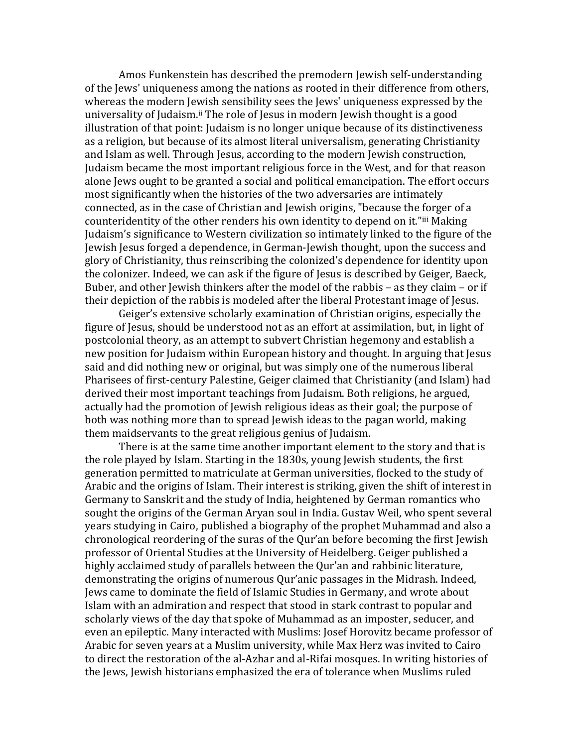Amos Funkenstein has described the premodern Jewish self-understanding of the Jews' uniqueness among the nations as rooted in their difference from others, whereas the modern Jewish sensibility sees the Jews' uniqueness expressed by the universality of Judaism.<sup>[ii](#page-8-0)</sup> The role of Jesus in modern Jewish thought is a good illustration of that point: Judaism is no longer unique because of its distinctiveness as a religion, but because of its almost literal universalism, generating Christianity and Islam as well. Through Jesus, according to the modern Jewish construction, Judaism became the most important religious force in the West, and for that reason alone Jews ought to be granted a social and political emancipation. The effort occurs most significantly when the histories of the two adversaries are intimately connected, as in the case of Christian and Jewish origins, "because the forger of a counteridentity of the other renders his own identity to depend on it."[iii](#page-8-0) Making Judaism's significance to Western civilization so intimately linked to the figure of the Jewish Jesus forged a dependence, in German-Jewish thought, upon the success and glory of Christianity, thus reinscribing the colonized's dependence for identity upon the colonizer. Indeed, we can ask if the figure of Jesus is described by Geiger, Baeck, Buber, and other Jewish thinkers after the model of the rabbis – as they claim – or if their depiction of the rabbis is modeled after the liberal Protestant image of Jesus.

Geiger's extensive scholarly examination of Christian origins, especially the figure of Jesus, should be understood not as an effort at assimilation, but, in light of postcolonial theory, as an attempt to subvert Christian hegemony and establish a new position for Judaism within European history and thought. In arguing that Jesus said and did nothing new or original, but was simply one of the numerous liberal Pharisees of first-century Palestine, Geiger claimed that Christianity (and Islam) had derived their most important teachings from Judaism. Both religions, he argued, actually had the promotion of Jewish religious ideas as their goal; the purpose of both was nothing more than to spread Jewish ideas to the pagan world, making them maidservants to the great religious genius of Judaism.

 There is at the same time another important element to the story and that is the role played by Islam. Starting in the 1830s, young Jewish students, the first generation permitted to matriculate at German universities, flocked to the study of Arabic and the origins of Islam. Their interest is striking, given the shift of interest in Germany to Sanskrit and the study of India, heightened by German romantics who sought the origins of the German Aryan soul in India. Gustav Weil, who spent several years studying in Cairo, published a biography of the prophet Muhammad and also a chronological reordering of the suras of the Qur'an before becoming the first Jewish professor of Oriental Studies at the University of Heidelberg. Geiger published a highly acclaimed study of parallels between the Qur'an and rabbinic literature, demonstrating the origins of numerous Qur'anic passages in the Midrash. Indeed, Jews came to dominate the field of Islamic Studies in Germany, and wrote about Islam with an admiration and respect that stood in stark contrast to popular and scholarly views of the day that spoke of Muhammad as an imposter, seducer, and even an epileptic. Many interacted with Muslims: Josef Horovitz became professor of Arabic for seven years at a Muslim university, while Max Herz was invited to Cairo to direct the restoration of the al-Azhar and al-Rifai mosques. In writing histories of the Jews, Jewish historians emphasized the era of tolerance when Muslims ruled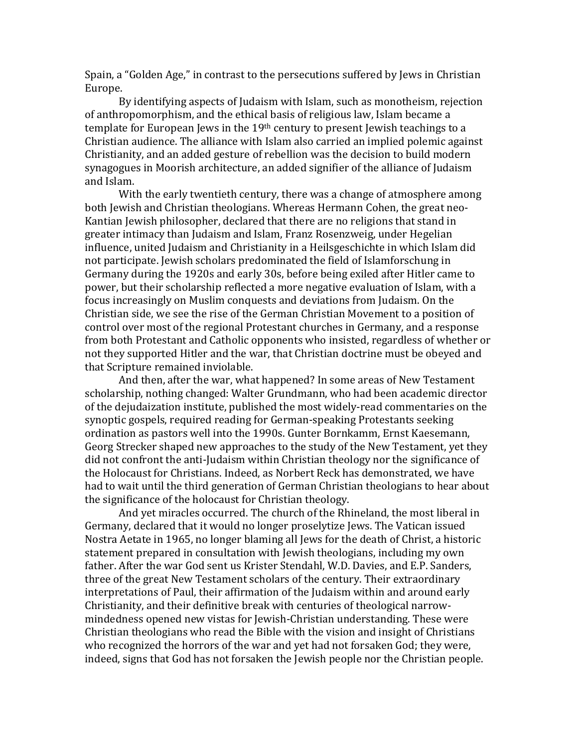Spain, a "Golden Age," in contrast to the persecutions suffered by Jews in Christian Europe.

 By identifying aspects of Judaism with Islam, such as monotheism, rejection of anthropomorphism, and the ethical basis of religious law, Islam became a template for European Jews in the 19<sup>th</sup> century to present Jewish teachings to a Christian audience. The alliance with Islam also carried an implied polemic against Christianity, and an added gesture of rebellion was the decision to build modern synagogues in Moorish architecture, an added signifier of the alliance of Judaism and Islam.

 With the early twentieth century, there was a change of atmosphere among both Jewish and Christian theologians. Whereas Hermann Cohen, the great neo-Kantian Jewish philosopher, declared that there are no religions that stand in greater intimacy than Judaism and Islam, Franz Rosenzweig, under Hegelian influence, united Judaism and Christianity in a Heilsgeschichte in which Islam did not participate. Jewish scholars predominated the field of Islamforschung in Germany during the 1920s and early 30s, before being exiled after Hitler came to power, but their scholarship reflected a more negative evaluation of Islam, with a focus increasingly on Muslim conquests and deviations from Judaism. On the Christian side, we see the rise of the German Christian Movement to a position of control over most of the regional Protestant churches in Germany, and a response from both Protestant and Catholic opponents who insisted, regardless of whether or not they supported Hitler and the war, that Christian doctrine must be obeyed and that Scripture remained inviolable.

 And then, after the war, what happened? In some areas of New Testament scholarship, nothing changed: Walter Grundmann, who had been academic director of the dejudaization institute, published the most widely-read commentaries on the synoptic gospels, required reading for German-speaking Protestants seeking ordination as pastors well into the 1990s. Gunter Bornkamm, Ernst Kaesemann, Georg Strecker shaped new approaches to the study of the New Testament, yet they did not confront the anti-Judaism within Christian theology nor the significance of the Holocaust for Christians. Indeed, as Norbert Reck has demonstrated, we have had to wait until the third generation of German Christian theologians to hear about the significance of the holocaust for Christian theology.

 And yet miracles occurred. The church of the Rhineland, the most liberal in Germany, declared that it would no longer proselytize Jews. The Vatican issued Nostra Aetate in 1965, no longer blaming all Jews for the death of Christ, a historic statement prepared in consultation with Jewish theologians, including my own father. After the war God sent us Krister Stendahl, W.D. Davies, and E.P. Sanders, three of the great New Testament scholars of the century. Their extraordinary interpretations of Paul, their affirmation of the Judaism within and around early Christianity, and their definitive break with centuries of theological narrowmindedness opened new vistas for Jewish-Christian understanding. These were Christian theologians who read the Bible with the vision and insight of Christians who recognized the horrors of the war and yet had not forsaken God; they were, indeed, signs that God has not forsaken the Jewish people nor the Christian people.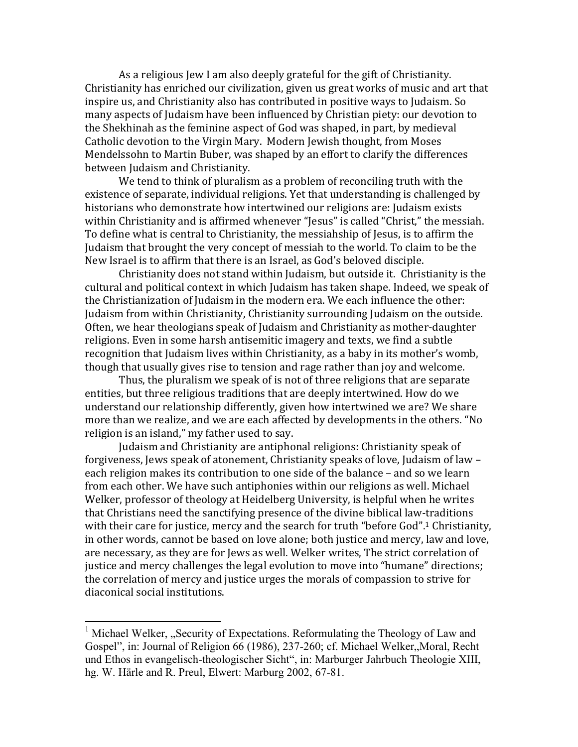As a religious Jew I am also deeply grateful for the gift of Christianity. Christianity has enriched our civilization, given us great works of music and art that inspire us, and Christianity also has contributed in positive ways to Judaism. So many aspects of Judaism have been influenced by Christian piety: our devotion to the Shekhinah as the feminine aspect of God was shaped, in part, by medieval Catholic devotion to the Virgin Mary. Modern Jewish thought, from Moses Mendelssohn to Martin Buber, was shaped by an effort to clarify the differences between Judaism and Christianity.

We tend to think of pluralism as a problem of reconciling truth with the existence of separate, individual religions. Yet that understanding is challenged by historians who demonstrate how intertwined our religions are: Judaism exists within Christianity and is affirmed whenever "Jesus" is called "Christ," the messiah. To define what is central to Christianity, the messiahship of Jesus, is to affirm the Judaism that brought the very concept of messiah to the world. To claim to be the New Israel is to affirm that there is an Israel, as God's beloved disciple.

Christianity does not stand within Judaism, but outside it. Christianity is the cultural and political context in which Judaism has taken shape. Indeed, we speak of the Christianization of Judaism in the modern era. We each influence the other: Judaism from within Christianity, Christianity surrounding Judaism on the outside. Often, we hear theologians speak of Judaism and Christianity as mother-daughter religions. Even in some harsh antisemitic imagery and texts, we find a subtle recognition that Judaism lives within Christianity, as a baby in its mother's womb, though that usually gives rise to tension and rage rather than joy and welcome.

Thus, the pluralism we speak of is not of three religions that are separate entities, but three religious traditions that are deeply intertwined. How do we understand our relationship differently, given how intertwined we are? We share more than we realize, and we are each affected by developments in the others. "No religion is an island," my father used to say.

Judaism and Christianity are antiphonal religions: Christianity speak of forgiveness, Jews speak of atonement, Christianity speaks of love, Judaism of law – each religion makes its contribution to one side of the balance – and so we learn from each other. We have such antiphonies within our religions as well. Michael Welker, professor of theology at Heidelberg University, is helpful when he writes that Christians need the sanctifying presence of the divine biblical law-traditions with their care for justice, mercy and the search for truth "before God".<sup>1</sup> Christianity, in other words, cannot be based on love alone; both justice and mercy, law and love, are necessary, as they are for Jews as well. Welker writes, The strict correlation of justice and mercy challenges the legal evolution to move into "humane" directions; the correlation of mercy and justice urges the morals of compassion to strive for diaconical social institutions.

<sup>&</sup>lt;sup>1</sup> Michael Welker, "Security of Expectations. Reformulating the Theology of Law and Gospel", in: Journal of Religion 66 (1986), 237-260; cf. Michael Welker, Moral, Recht und Ethos in evangelisch-theologischer Sicht", in: Marburger Jahrbuch Theologie XIII, hg. W. Härle and R. Preul, Elwert: Marburg 2002, 67-81.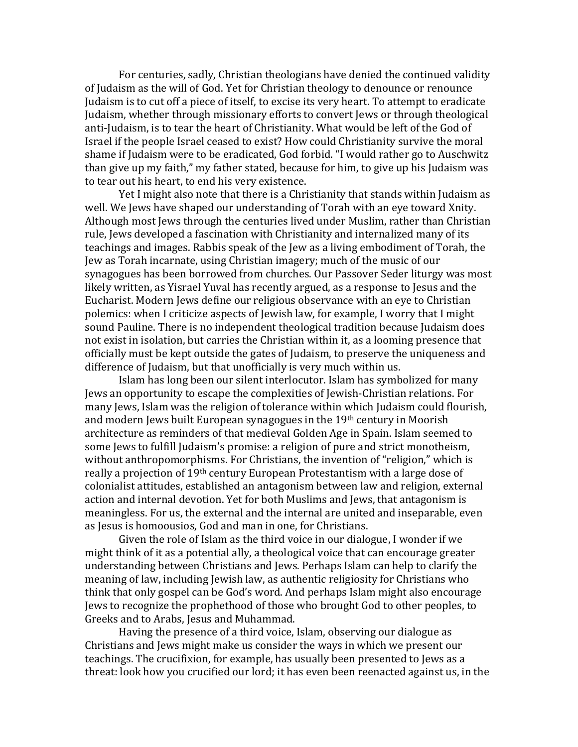For centuries, sadly, Christian theologians have denied the continued validity of Judaism as the will of God. Yet for Christian theology to denounce or renounce Judaism is to cut off a piece of itself, to excise its very heart. To attempt to eradicate Judaism, whether through missionary efforts to convert Jews or through theological anti-Judaism, is to tear the heart of Christianity. What would be left of the God of Israel if the people Israel ceased to exist? How could Christianity survive the moral shame if Judaism were to be eradicated, God forbid. "I would rather go to Auschwitz than give up my faith," my father stated, because for him, to give up his Judaism was to tear out his heart, to end his very existence.

Yet I might also note that there is a Christianity that stands within Judaism as well. We Jews have shaped our understanding of Torah with an eye toward Xnity. Although most Jews through the centuries lived under Muslim, rather than Christian rule, Jews developed a fascination with Christianity and internalized many of its teachings and images. Rabbis speak of the Jew as a living embodiment of Torah, the Jew as Torah incarnate, using Christian imagery; much of the music of our synagogues has been borrowed from churches. Our Passover Seder liturgy was most likely written, as Yisrael Yuval has recently argued, as a response to Jesus and the Eucharist. Modern Jews define our religious observance with an eye to Christian polemics: when I criticize aspects of Jewish law, for example, I worry that I might sound Pauline. There is no independent theological tradition because Judaism does not exist in isolation, but carries the Christian within it, as a looming presence that officially must be kept outside the gates of Judaism, to preserve the uniqueness and difference of Judaism, but that unofficially is very much within us.

Islam has long been our silent interlocutor. Islam has symbolized for many Jews an opportunity to escape the complexities of Jewish-Christian relations. For many Jews, Islam was the religion of tolerance within which Judaism could flourish, and modern Jews built European synagogues in the 19th century in Moorish architecture as reminders of that medieval Golden Age in Spain. Islam seemed to some Jews to fulfill Judaism's promise: a religion of pure and strict monotheism, without anthropomorphisms. For Christians, the invention of "religion," which is really a projection of 19th century European Protestantism with a large dose of colonialist attitudes, established an antagonism between law and religion, external action and internal devotion. Yet for both Muslims and Jews, that antagonism is meaningless. For us, the external and the internal are united and inseparable, even as Jesus is homoousios, God and man in one, for Christians.

Given the role of Islam as the third voice in our dialogue, I wonder if we might think of it as a potential ally, a theological voice that can encourage greater understanding between Christians and Jews. Perhaps Islam can help to clarify the meaning of law, including Jewish law, as authentic religiosity for Christians who think that only gospel can be God's word. And perhaps Islam might also encourage Jews to recognize the prophethood of those who brought God to other peoples, to Greeks and to Arabs, Jesus and Muhammad.

Having the presence of a third voice, Islam, observing our dialogue as Christians and Jews might make us consider the ways in which we present our teachings. The crucifixion, for example, has usually been presented to Jews as a threat: look how you crucified our lord; it has even been reenacted against us, in the